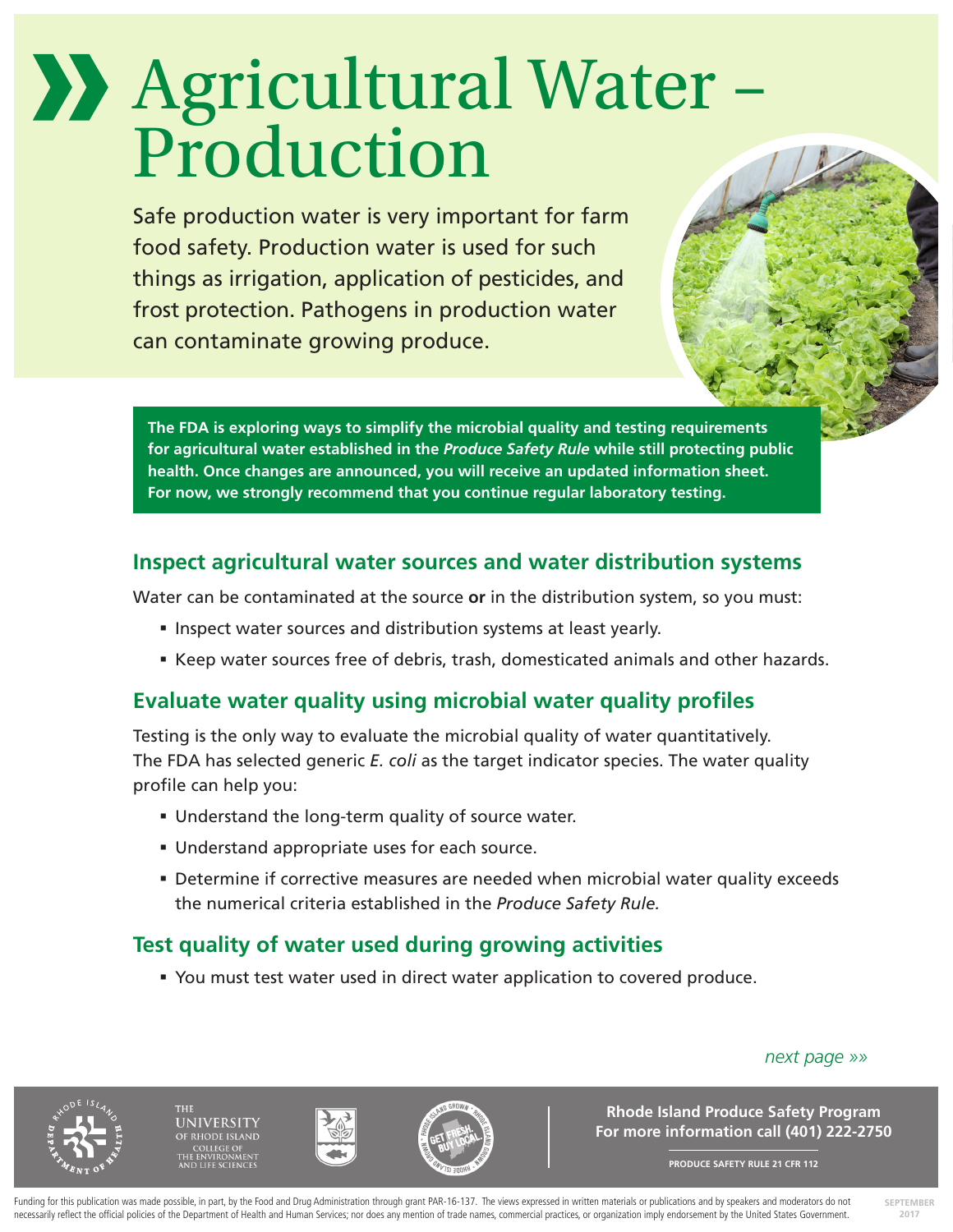# Agricultural Water – Production

Safe production water is very important for farm food safety. Production water is used for such things as irrigation, application of pesticides, and frost protection. Pathogens in production water can contaminate growing produce.

**The FDA is exploring ways to simplify the microbial quality and testing requirements for agricultural water established in the** *Produce Safety Rule* **while still protecting public health. Once changes are announced, you will receive an updated information sheet. For now, we strongly recommend that you continue regular laboratory testing.**

## **Inspect agricultural water sources and water distribution systems**

Water can be contaminated at the source **or** in the distribution system, so you must:

- **Inspect water sources and distribution systems at least yearly.**
- Keep water sources free of debris, trash, domesticated animals and other hazards.

# **Evaluate water quality using microbial water quality profiles**

Testing is the only way to evaluate the microbial quality of water quantitatively. The FDA has selected generic *E. coli* as the target indicator species. The water quality profile can help you:

- Understand the long-term quality of source water.
- Understand appropriate uses for each source.
- Determine if corrective measures are needed when microbial water quality exceeds the numerical criteria established in the *Produce Safety Rule.*

# **Test quality of water used during growing activities**

You must test water used in direct water application to covered produce.

*next page »»*

**SIVERSITY** 





**Rhode Island Produce Safety Program For more information call (401) 222-2750**

**PRODUCE SAFETY RULE 21 CFR 112**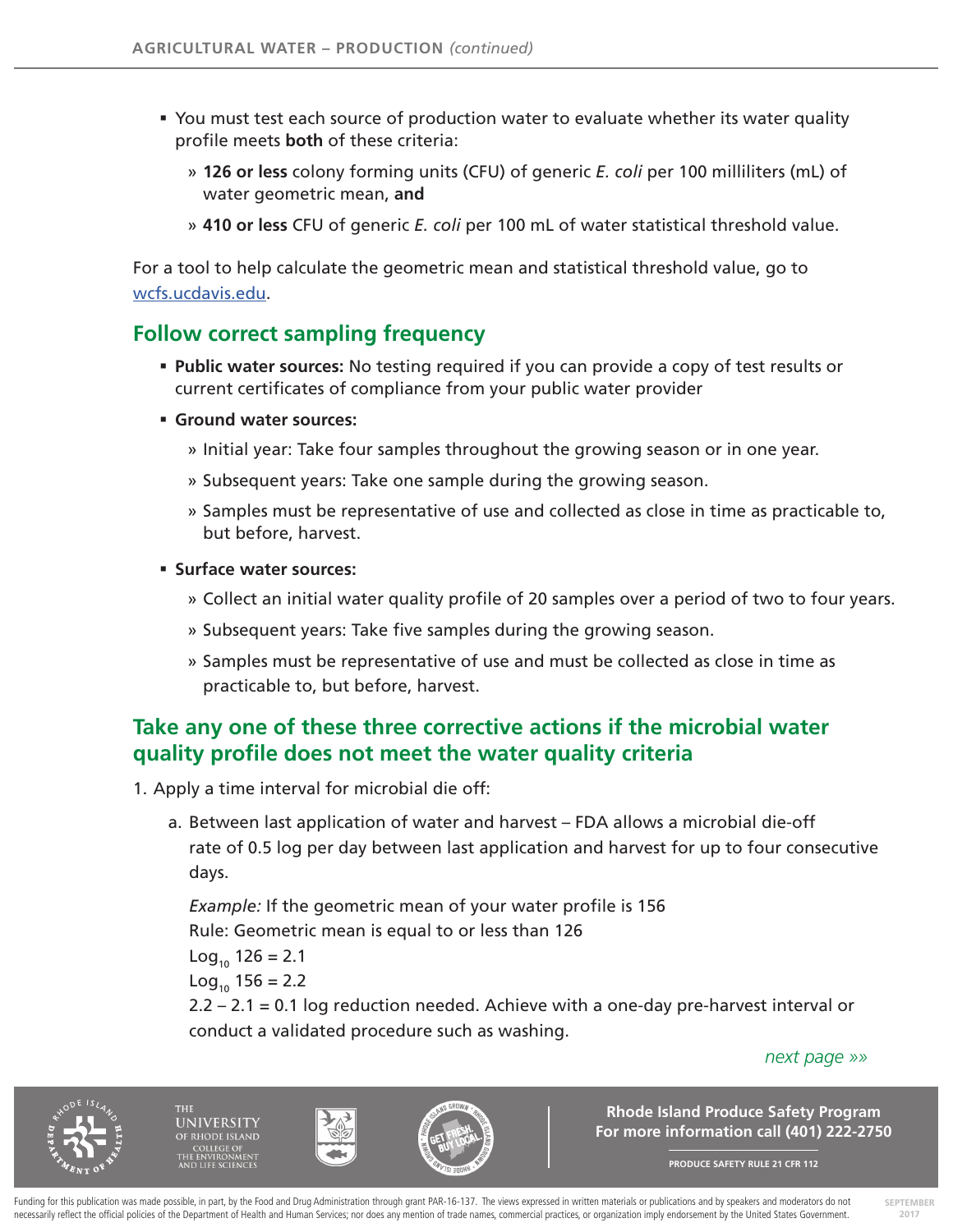- You must test each source of production water to evaluate whether its water quality profile meets **both** of these criteria:
	- » **126 or less** colony forming units (CFU) of generic *E. coli* per 100 milliliters (mL) of water geometric mean, **and**
	- » **410 or less** CFU of generic *E. coli* per 100 mL of water statistical threshold value.

For a tool to help calculate the geometric mean and statistical threshold value, go to wcfs.ucdavis.edu.

### **Follow correct sampling frequency**

- **Public water sources:** No testing required if you can provide a copy of test results or current certificates of compliance from your public water provider
- **Ground water sources:** 
	- » Initial year: Take four samples throughout the growing season or in one year.
	- » Subsequent years: Take one sample during the growing season.
	- » Samples must be representative of use and collected as close in time as practicable to, but before, harvest.
- **Surface water sources:**
	- » Collect an initial water quality profile of 20 samples over a period of two to four years.
	- » Subsequent years: Take five samples during the growing season.
	- » Samples must be representative of use and must be collected as close in time as practicable to, but before, harvest.

# **Take any one of these three corrective actions if the microbial water quality profile does not meet the water quality criteria**

- 1. Apply a time interval for microbial die off:
	- a. Between last application of water and harvest FDA allows a microbial die-off rate of 0.5 log per day between last application and harvest for up to four consecutive days.

*Example:* If the geometric mean of your water profile is 156 Rule: Geometric mean is equal to or less than 126

 $Log_{10} 126 = 2.1$ 

 $Log_{10} 156 = 2.2$ 

2.2 – 2.1 = 0.1 log reduction needed. Achieve with a one-day pre-harvest interval or conduct a validated procedure such as washing.

#### *next page »»*

**SEPTEMBER 2017**



**JNIVERSITY** 





**Rhode Island Produce Safety Program For more information call (401) 222-2750**

**PRODUCE SAFETY RULE 21 CFR 112**